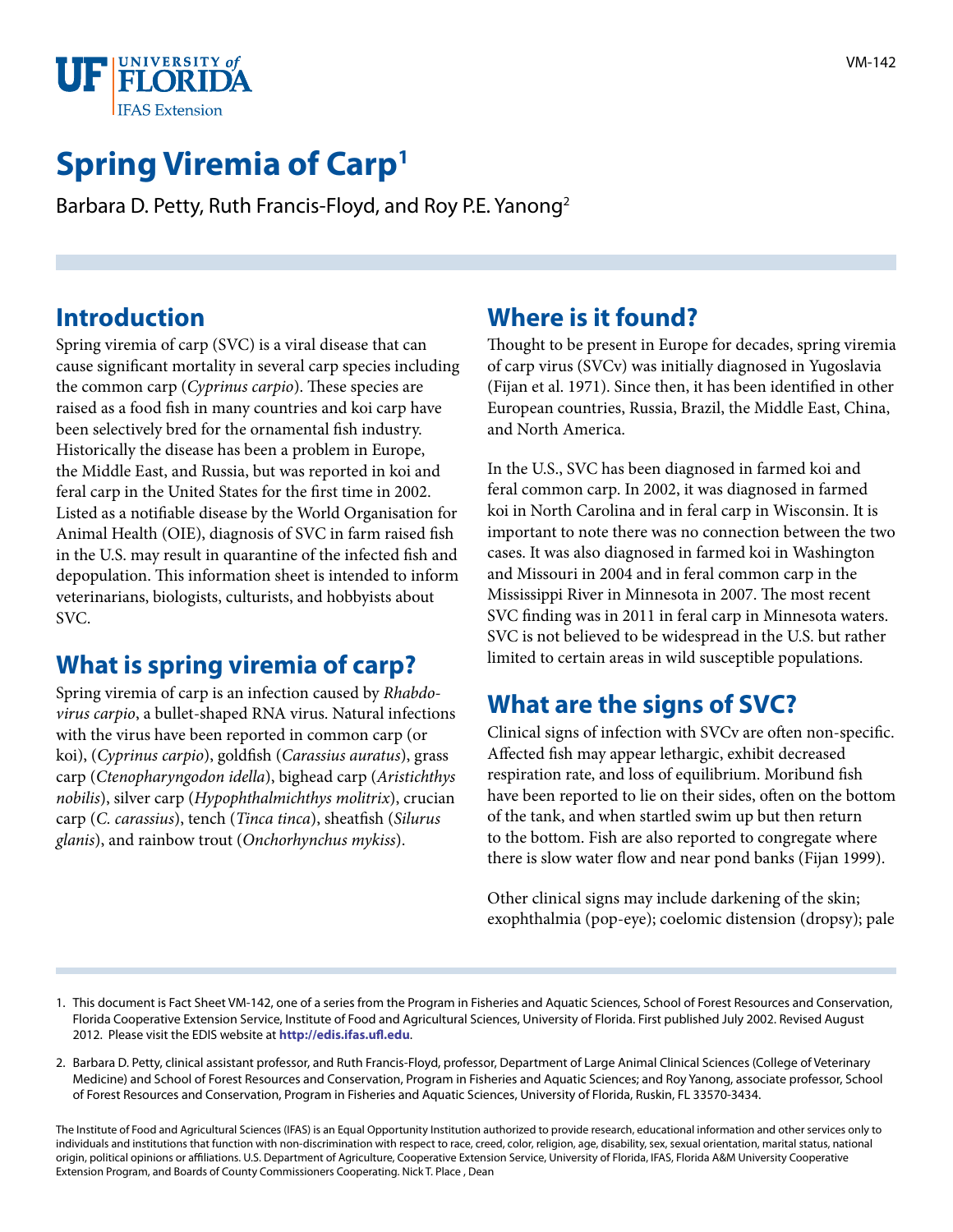

# **Spring Viremia of Carp1**

Barbara D. Petty, Ruth Francis-Floyd, and Roy P.E. Yanong2

#### **Introduction**

Spring viremia of carp (SVC) is a viral disease that can cause significant mortality in several carp species including the common carp (*Cyprinus carpio*). These species are raised as a food fish in many countries and koi carp have been selectively bred for the ornamental fish industry. Historically the disease has been a problem in Europe, the Middle East, and Russia, but was reported in koi and feral carp in the United States for the first time in 2002. Listed as a notifiable disease by the World Organisation for Animal Health (OIE), diagnosis of SVC in farm raised fish in the U.S. may result in quarantine of the infected fish and depopulation. This information sheet is intended to inform veterinarians, biologists, culturists, and hobbyists about SVC.

### **What is spring viremia of carp?**

Spring viremia of carp is an infection caused by *Rhabdovirus carpio*, a bullet-shaped RNA virus. Natural infections with the virus have been reported in common carp (or koi), (*Cyprinus carpio*), goldfish (*Carassius auratus*), grass carp (*Ctenopharyngodon idella*), bighead carp (*Aristichthys nobilis*), silver carp (*Hypophthalmichthys molitrix*), crucian carp (*C. carassius*), tench (*Tinca tinca*), sheatfish (*Silurus glanis*), and rainbow trout (*Onchorhynchus mykiss*).

#### **Where is it found?**

Thought to be present in Europe for decades, spring viremia of carp virus (SVCv) was initially diagnosed in Yugoslavia (Fijan et al. 1971). Since then, it has been identified in other European countries, Russia, Brazil, the Middle East, China, and North America.

In the U.S., SVC has been diagnosed in farmed koi and feral common carp. In 2002, it was diagnosed in farmed koi in North Carolina and in feral carp in Wisconsin. It is important to note there was no connection between the two cases. It was also diagnosed in farmed koi in Washington and Missouri in 2004 and in feral common carp in the Mississippi River in Minnesota in 2007. The most recent SVC finding was in 2011 in feral carp in Minnesota waters. SVC is not believed to be widespread in the U.S. but rather limited to certain areas in wild susceptible populations.

#### **What are the signs of SVC?**

Clinical signs of infection with SVCv are often non-specific. Affected fish may appear lethargic, exhibit decreased respiration rate, and loss of equilibrium. Moribund fish have been reported to lie on their sides, often on the bottom of the tank, and when startled swim up but then return to the bottom. Fish are also reported to congregate where there is slow water flow and near pond banks (Fijan 1999).

Other clinical signs may include darkening of the skin; exophthalmia (pop-eye); coelomic distension (dropsy); pale

1. This document is Fact Sheet VM-142, one of a series from the Program in Fisheries and Aquatic Sciences, School of Forest Resources and Conservation, Florida Cooperative Extension Service, Institute of Food and Agricultural Sciences, University of Florida. First published July 2002. Revised August 2012. Please visit the EDIS website at **<http://edis.ifas.ufl.edu>**.

2. Barbara D. Petty, clinical assistant professor, and Ruth Francis-Floyd, professor, Department of Large Animal Clinical Sciences (College of Veterinary Medicine) and School of Forest Resources and Conservation, Program in Fisheries and Aquatic Sciences; and Roy Yanong, associate professor, School of Forest Resources and Conservation, Program in Fisheries and Aquatic Sciences, University of Florida, Ruskin, FL 33570-3434.

The Institute of Food and Agricultural Sciences (IFAS) is an Equal Opportunity Institution authorized to provide research, educational information and other services only to individuals and institutions that function with non-discrimination with respect to race, creed, color, religion, age, disability, sex, sexual orientation, marital status, national origin, political opinions or affiliations. U.S. Department of Agriculture, Cooperative Extension Service, University of Florida, IFAS, Florida A&M University Cooperative Extension Program, and Boards of County Commissioners Cooperating. Nick T. Place , Dean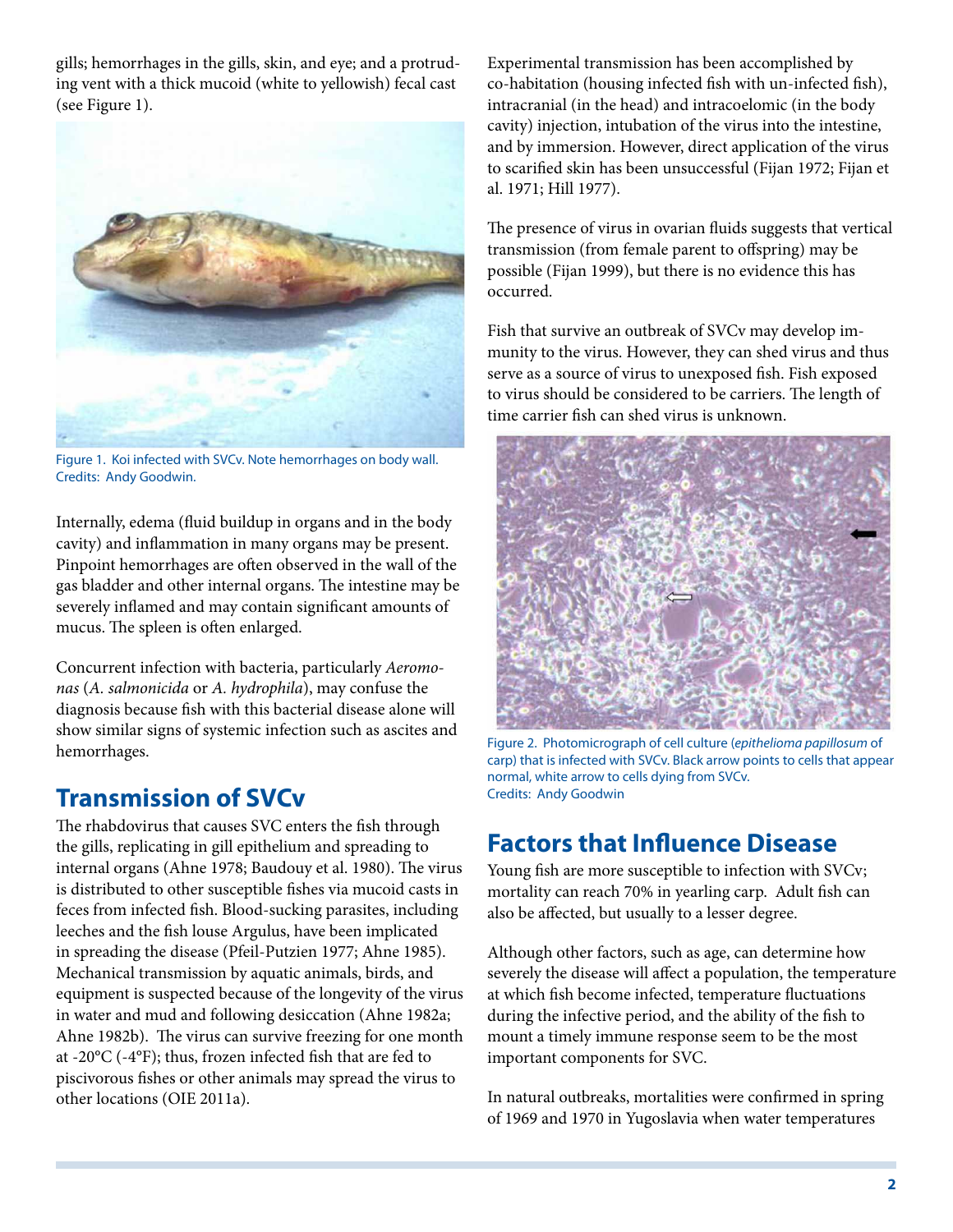gills; hemorrhages in the gills, skin, and eye; and a protruding vent with a thick mucoid (white to yellowish) fecal cast (see Figure 1).



Figure 1. Koi infected with SVCv. Note hemorrhages on body wall. Credits: Andy Goodwin.

Internally, edema (fluid buildup in organs and in the body cavity) and inflammation in many organs may be present. Pinpoint hemorrhages are often observed in the wall of the gas bladder and other internal organs. The intestine may be severely inflamed and may contain significant amounts of mucus. The spleen is often enlarged.

Concurrent infection with bacteria, particularly *Aeromonas* (*A. salmonicida* or *A. hydrophila*), may confuse the diagnosis because fish with this bacterial disease alone will show similar signs of systemic infection such as ascites and hemorrhages.

### **Transmission of SVCv**

The rhabdovirus that causes SVC enters the fish through the gills, replicating in gill epithelium and spreading to internal organs (Ahne 1978; Baudouy et al. 1980). The virus is distributed to other susceptible fishes via mucoid casts in feces from infected fish. Blood-sucking parasites, including leeches and the fish louse Argulus, have been implicated in spreading the disease (Pfeil-Putzien 1977; Ahne 1985). Mechanical transmission by aquatic animals, birds, and equipment is suspected because of the longevity of the virus in water and mud and following desiccation (Ahne 1982a; Ahne 1982b). The virus can survive freezing for one month at -20°C (-4°F); thus, frozen infected fish that are fed to piscivorous fishes or other animals may spread the virus to other locations (OIE 2011a).

Experimental transmission has been accomplished by co-habitation (housing infected fish with un-infected fish), intracranial (in the head) and intracoelomic (in the body cavity) injection, intubation of the virus into the intestine, and by immersion. However, direct application of the virus to scarified skin has been unsuccessful (Fijan 1972; Fijan et al. 1971; Hill 1977).

The presence of virus in ovarian fluids suggests that vertical transmission (from female parent to offspring) may be possible (Fijan 1999), but there is no evidence this has occurred.

Fish that survive an outbreak of SVCv may develop immunity to the virus. However, they can shed virus and thus serve as a source of virus to unexposed fish. Fish exposed to virus should be considered to be carriers. The length of time carrier fish can shed virus is unknown.



Figure 2. Photomicrograph of cell culture (*epithelioma papillosum* of carp) that is infected with SVCv. Black arrow points to cells that appear normal, white arrow to cells dying from SVCv. Credits: Andy Goodwin

# **Factors that Influence Disease**

Young fish are more susceptible to infection with SVCv; mortality can reach 70% in yearling carp. Adult fish can also be affected, but usually to a lesser degree.

Although other factors, such as age, can determine how severely the disease will affect a population, the temperature at which fish become infected, temperature fluctuations during the infective period, and the ability of the fish to mount a timely immune response seem to be the most important components for SVC.

In natural outbreaks, mortalities were confirmed in spring of 1969 and 1970 in Yugoslavia when water temperatures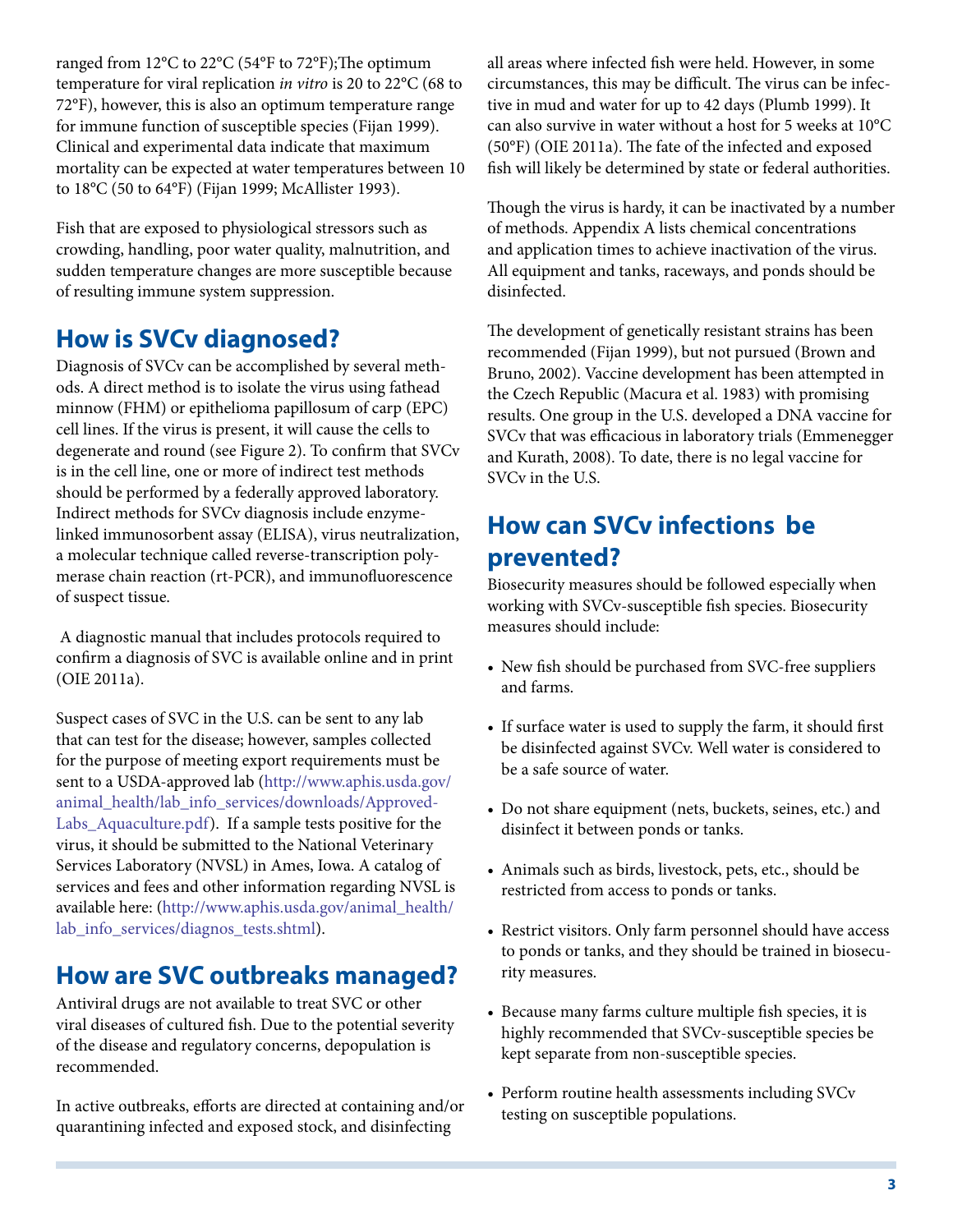ranged from 12°C to 22°C (54°F to 72°F);The optimum temperature for viral replication *in vitro* is 20 to 22°C (68 to 72°F), however, this is also an optimum temperature range for immune function of susceptible species (Fijan 1999). Clinical and experimental data indicate that maximum mortality can be expected at water temperatures between 10 to 18°C (50 to 64°F) (Fijan 1999; McAllister 1993).

Fish that are exposed to physiological stressors such as crowding, handling, poor water quality, malnutrition, and sudden temperature changes are more susceptible because of resulting immune system suppression.

# **How is SVCv diagnosed?**

Diagnosis of SVCv can be accomplished by several methods. A direct method is to isolate the virus using fathead minnow (FHM) or epithelioma papillosum of carp (EPC) cell lines. If the virus is present, it will cause the cells to degenerate and round (see Figure 2). To confirm that SVCv is in the cell line, one or more of indirect test methods should be performed by a federally approved laboratory. Indirect methods for SVCv diagnosis include enzymelinked immunosorbent assay (ELISA), virus neutralization, a molecular technique called reverse-transcription polymerase chain reaction (rt-PCR), and immunofluorescence of suspect tissue.

 A diagnostic manual that includes protocols required to confirm a diagnosis of SVC is available online and in print (OIE 2011a).

Suspect cases of SVC in the U.S. can be sent to any lab that can test for the disease; however, samples collected for the purpose of meeting export requirements must be sent to a USDA-approved lab ([http://www.aphis.usda.gov/](http://www.aphis.usda.gov/animal_health/lab_info_services/downloads/ApprovedLabs_Aquaculture.pdf) [animal\\_health/lab\\_info\\_services/downloads/Approved-](http://www.aphis.usda.gov/animal_health/lab_info_services/downloads/ApprovedLabs_Aquaculture.pdf)[Labs\\_Aquaculture.pdf\)](http://www.aphis.usda.gov/animal_health/lab_info_services/downloads/ApprovedLabs_Aquaculture.pdf). If a sample tests positive for the virus, it should be submitted to the National Veterinary Services Laboratory (NVSL) in Ames, Iowa. A catalog of services and fees and other information regarding NVSL is available here: [\(http://www.aphis.usda.gov/animal\\_health/](http://www.aphis.usda.gov/animal_health/lab_info_services/diagnos_tests.shtml) [lab\\_info\\_services/diagnos\\_tests.shtml\)](http://www.aphis.usda.gov/animal_health/lab_info_services/diagnos_tests.shtml).

# **How are SVC outbreaks managed?**

Antiviral drugs are not available to treat SVC or other viral diseases of cultured fish. Due to the potential severity of the disease and regulatory concerns, depopulation is recommended.

In active outbreaks, efforts are directed at containing and/or quarantining infected and exposed stock, and disinfecting

all areas where infected fish were held. However, in some circumstances, this may be difficult. The virus can be infective in mud and water for up to 42 days (Plumb 1999). It can also survive in water without a host for 5 weeks at 10°C (50°F) (OIE 2011a). The fate of the infected and exposed fish will likely be determined by state or federal authorities.

Though the virus is hardy, it can be inactivated by a number of methods. Appendix A lists chemical concentrations and application times to achieve inactivation of the virus. All equipment and tanks, raceways, and ponds should be disinfected.

The development of genetically resistant strains has been recommended (Fijan 1999), but not pursued (Brown and Bruno, 2002). Vaccine development has been attempted in the Czech Republic (Macura et al. 1983) with promising results. One group in the U.S. developed a DNA vaccine for SVCv that was efficacious in laboratory trials (Emmenegger and Kurath, 2008). To date, there is no legal vaccine for SVCv in the U.S.

# **How can SVCv infections be prevented?**

Biosecurity measures should be followed especially when working with SVCv-susceptible fish species. Biosecurity measures should include:

- New fish should be purchased from SVC-free suppliers and farms.
- If surface water is used to supply the farm, it should first be disinfected against SVCv. Well water is considered to be a safe source of water.
- Do not share equipment (nets, buckets, seines, etc.) and disinfect it between ponds or tanks.
- Animals such as birds, livestock, pets, etc., should be restricted from access to ponds or tanks.
- Restrict visitors. Only farm personnel should have access to ponds or tanks, and they should be trained in biosecurity measures.
- • Because many farms culture multiple fish species, it is highly recommended that SVCv-susceptible species be kept separate from non-susceptible species.
- Perform routine health assessments including SVCv testing on susceptible populations.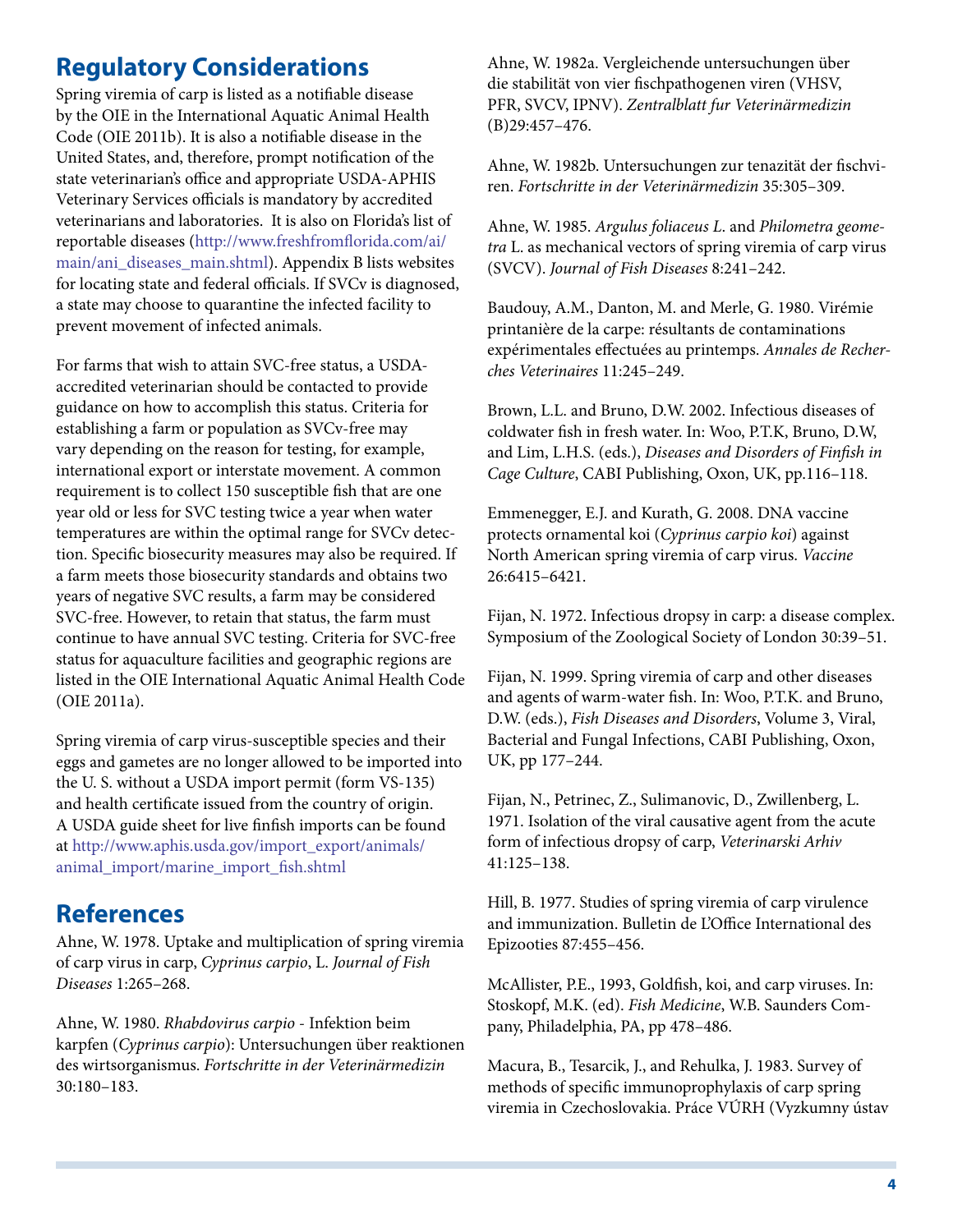# **Regulatory Considerations**

Spring viremia of carp is listed as a notifiable disease by the OIE in the International Aquatic Animal Health Code (OIE 2011b). It is also a notifiable disease in the United States, and, therefore, prompt notification of the state veterinarian's office and appropriate USDA-APHIS Veterinary Services officials is mandatory by accredited veterinarians and laboratories. It is also on Florida's list of reportable diseases [\(http://www.freshfromflorida.com/ai/](http://www.freshfromflorida.com/ai/main/ani_diseases_main.shtml) [main/ani\\_diseases\\_main.shtml](http://www.freshfromflorida.com/ai/main/ani_diseases_main.shtml)). Appendix B lists websites for locating state and federal officials. If SVCv is diagnosed, a state may choose to quarantine the infected facility to prevent movement of infected animals.

For farms that wish to attain SVC-free status, a USDAaccredited veterinarian should be contacted to provide guidance on how to accomplish this status. Criteria for establishing a farm or population as SVCv-free may vary depending on the reason for testing, for example, international export or interstate movement. A common requirement is to collect 150 susceptible fish that are one year old or less for SVC testing twice a year when water temperatures are within the optimal range for SVCv detection. Specific biosecurity measures may also be required. If a farm meets those biosecurity standards and obtains two years of negative SVC results, a farm may be considered SVC-free. However, to retain that status, the farm must continue to have annual SVC testing. Criteria for SVC-free status for aquaculture facilities and geographic regions are listed in the OIE International Aquatic Animal Health Code (OIE 2011a).

Spring viremia of carp virus-susceptible species and their eggs and gametes are no longer allowed to be imported into the U. S. without a USDA import permit (form VS-135) and health certificate issued from the country of origin. A USDA guide sheet for live finfish imports can be found at [http://www.aphis.usda.gov/import\\_export/animals/](http://www.aphis.usda.gov/import_export/animals/animal_import/marine_import_fish.shtml) [animal\\_import/marine\\_import\\_fish.shtml](http://www.aphis.usda.gov/import_export/animals/animal_import/marine_import_fish.shtml)

### **References**

Ahne, W. 1978. Uptake and multiplication of spring viremia of carp virus in carp, *Cyprinus carpio*, L. *Journal of Fish Diseases* 1:265–268.

Ahne, W. 1980. *Rhabdovirus carpio* - Infektion beim karpfen (*Cyprinus carpio*): Untersuchungen über reaktionen des wirtsorganismus. *Fortschritte in der Veterinärmedizin* 30:180–183.

Ahne, W. 1982a. Vergleichende untersuchungen über die stabilität von vier fischpathogenen viren (VHSV, PFR, SVCV, IPNV). *Zentralblatt fur Veterinärmedizin* (B)29:457–476.

Ahne, W. 1982b. Untersuchungen zur tenazität der fischviren. *Fortschritte in der Veterinärmedizin* 35:305–309.

Ahne, W. 1985. *Argulus foliaceus L*. and *Philometra geometra* L. as mechanical vectors of spring viremia of carp virus (SVCV). *Journal of Fish Diseases* 8:241–242.

Baudouy, A.M., Danton, M. and Merle, G. 1980. Virémie printanière de la carpe: résultants de contaminations expérimentales effectuées au printemps. *Annales de Recherches Veterinaires* 11:245–249.

Brown, L.L. and Bruno, D.W. 2002. Infectious diseases of coldwater fish in fresh water. In: Woo, P.T.K, Bruno, D.W, and Lim, L.H.S. (eds.), *Diseases and Disorders of Finfish in Cage Culture*, CABI Publishing, Oxon, UK, pp.116–118.

Emmenegger, E.J. and Kurath, G. 2008. DNA vaccine protects ornamental koi (*Cyprinus carpio koi*) against North American spring viremia of carp virus. *Vaccine* 26:6415–6421.

Fijan, N. 1972. Infectious dropsy in carp: a disease complex. Symposium of the Zoological Society of London 30:39–51.

Fijan, N. 1999. Spring viremia of carp and other diseases and agents of warm-water fish. In: Woo, P.T.K. and Bruno, D.W. (eds.), *Fish Diseases and Disorders*, Volume 3, Viral, Bacterial and Fungal Infections, CABI Publishing, Oxon, UK, pp 177–244.

Fijan, N., Petrinec, Z., Sulimanovic, D., Zwillenberg, L. 1971. Isolation of the viral causative agent from the acute form of infectious dropsy of carp, *Veterinarski Arhiv* 41:125–138.

Hill, B. 1977. Studies of spring viremia of carp virulence and immunization. Bulletin de L'Office International des Epizooties 87:455–456.

McAllister, P.E., 1993, Goldfish, koi, and carp viruses. In: Stoskopf, M.K. (ed). *Fish Medicine*, W.B. Saunders Company, Philadelphia, PA, pp 478–486.

Macura, B., Tesarcik, J., and Rehulka, J. 1983. Survey of methods of specific immunoprophylaxis of carp spring viremia in Czechoslovakia. Práce VÚRH (Vyzkumny ústav